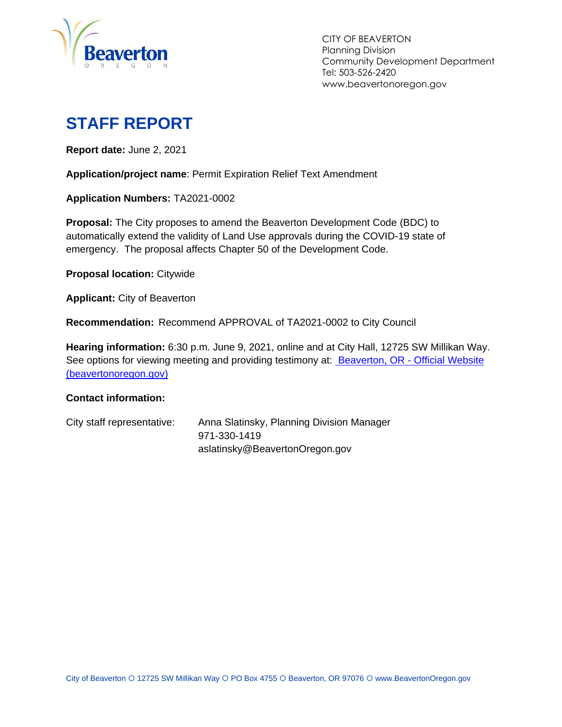

CITY OF BEAVERTON Planning Division Community Development Department Tel: 503-526-2420 www.beavertonoregon.gov

# <span id="page-0-0"></span>**STAFF REPORT**

**Report date:** June 2, 2021

**Application/project name**: Permit Expiration Relief Text Amendment

**Application Numbers:** TA2021-0002

**Proposal:** The City proposes to amend the Beaverton Development Code (BDC) to automatically extend the validity of Land Use approvals during the COVID-19 state of emergency. The proposal affects Chapter 50 of the Development Code.

**Proposal location:** Citywide

**Applicant:** City of Beaverton

**Recommendation:** Recommend APPROVAL of TA2021-0002 to City Council

**Hearing information:** 6:30 p.m. June 9, 2021, online and at City Hall, 12725 SW Millikan Way. See options for viewing meeting and providing testimony at: [Beaverton, OR -](https://www.beavertonoregon.gov/291/Agendas-Minutes) Official Website [\(beavertonoregon.gov\)](https://www.beavertonoregon.gov/291/Agendas-Minutes)

#### **Contact information:**

| City staff representative: | Anna Slatinsky, Planning Division Manager |
|----------------------------|-------------------------------------------|
|                            | 971-330-1419                              |
|                            | aslatinsky@BeavertonOregon.gov            |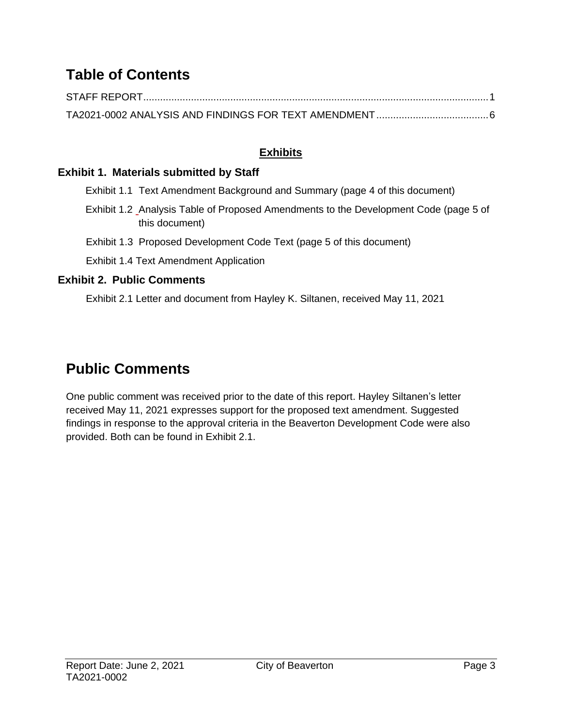## **Table of Contents**

#### **Exhibits**

#### **Exhibit 1. Materials submitted by Staff**

- Exhibit 1.1 Text Amendment Background and Summary (page 4 of this document)
- Exhibit 1.2 Analysis Table of Proposed Amendments to the Development Code (page 5 of this document)

Exhibit 1.3 Proposed Development Code Text (page 5 of this document)

Exhibit 1.4 Text Amendment Application

#### **Exhibit 2. Public Comments**

Exhibit 2.1 Letter and document from Hayley K. Siltanen, received May 11, 2021

## **Public Comments**

One public comment was received prior to the date of this report. Hayley Siltanen's letter received May 11, 2021 expresses support for the proposed text amendment. Suggested findings in response to the approval criteria in the Beaverton Development Code were also provided. Both can be found in Exhibit 2.1.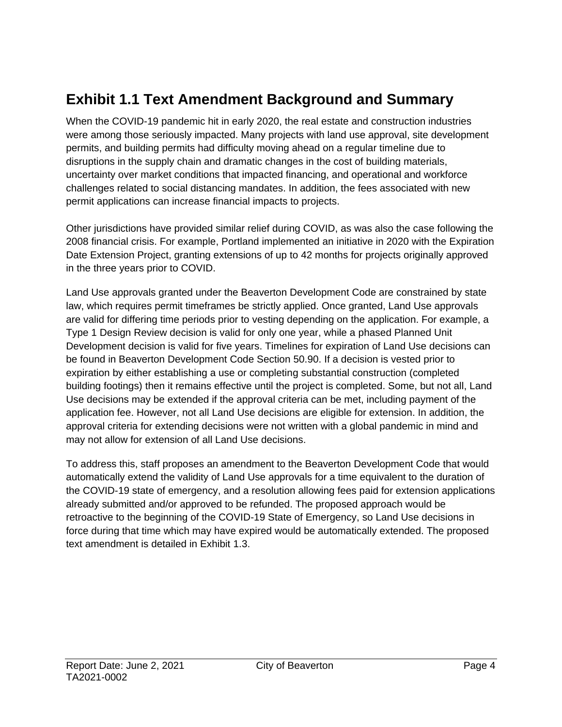## **Exhibit 1.1 Text Amendment Background and Summary**

When the COVID-19 pandemic hit in early 2020, the real estate and construction industries were among those seriously impacted. Many projects with land use approval, site development permits, and building permits had difficulty moving ahead on a regular timeline due to disruptions in the supply chain and dramatic changes in the cost of building materials, uncertainty over market conditions that impacted financing, and operational and workforce challenges related to social distancing mandates. In addition, the fees associated with new permit applications can increase financial impacts to projects.

Other jurisdictions have provided similar relief during COVID, as was also the case following the 2008 financial crisis. For example, Portland implemented an initiative in 2020 with the Expiration Date Extension Project, granting extensions of up to 42 months for projects originally approved in the three years prior to COVID.

Land Use approvals granted under the Beaverton Development Code are constrained by state law, which requires permit timeframes be strictly applied. Once granted, Land Use approvals are valid for differing time periods prior to vesting depending on the application. For example, a Type 1 Design Review decision is valid for only one year, while a phased Planned Unit Development decision is valid for five years. Timelines for expiration of Land Use decisions can be found in Beaverton Development Code Section 50.90. If a decision is vested prior to expiration by either establishing a use or completing substantial construction (completed building footings) then it remains effective until the project is completed. Some, but not all, Land Use decisions may be extended if the approval criteria can be met, including payment of the application fee. However, not all Land Use decisions are eligible for extension. In addition, the approval criteria for extending decisions were not written with a global pandemic in mind and may not allow for extension of all Land Use decisions.

To address this, staff proposes an amendment to the Beaverton Development Code that would automatically extend the validity of Land Use approvals for a time equivalent to the duration of the COVID-19 state of emergency, and a resolution allowing fees paid for extension applications already submitted and/or approved to be refunded. The proposed approach would be retroactive to the beginning of the COVID-19 State of Emergency, so Land Use decisions in force during that time which may have expired would be automatically extended. The proposed text amendment is detailed in Exhibit 1.3.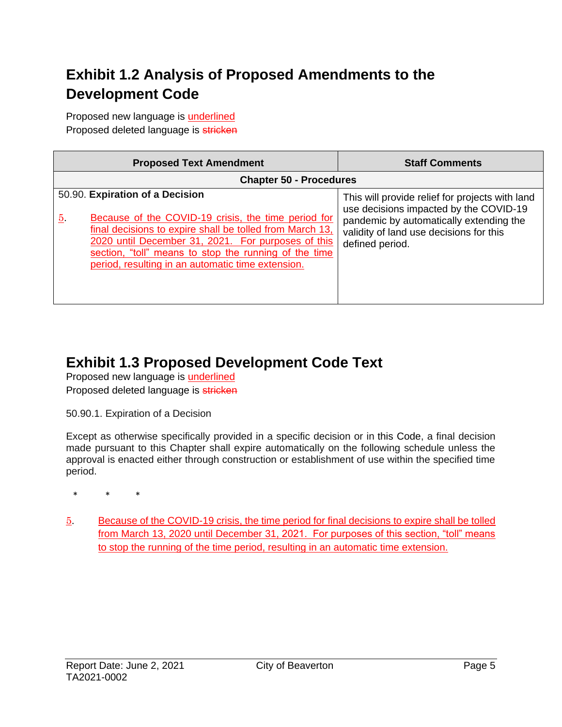## **Exhibit 1.2 Analysis of Proposed Amendments to the Development Code**

Proposed new language is **underlined** Proposed deleted language is stricken

| <b>Proposed Text Amendment</b>                                                                                                                                                                                                                                                                                                       | <b>Staff Comments</b>                                                                                                                                                                              |  |  |
|--------------------------------------------------------------------------------------------------------------------------------------------------------------------------------------------------------------------------------------------------------------------------------------------------------------------------------------|----------------------------------------------------------------------------------------------------------------------------------------------------------------------------------------------------|--|--|
| <b>Chapter 50 - Procedures</b>                                                                                                                                                                                                                                                                                                       |                                                                                                                                                                                                    |  |  |
| 50.90. Expiration of a Decision<br>Because of the COVID-19 crisis, the time period for<br><u>5</u> .<br>final decisions to expire shall be tolled from March 13.<br>2020 until December 31, 2021. For purposes of this<br>section, "toll" means to stop the running of the time<br>period, resulting in an automatic time extension. | This will provide relief for projects with land<br>use decisions impacted by the COVID-19<br>pandemic by automatically extending the<br>validity of land use decisions for this<br>defined period. |  |  |

### **Exhibit 1.3 Proposed Development Code Text**

Proposed new language is **underlined** Proposed deleted language is stricken

50.90.1. Expiration of a Decision

Except as otherwise specifically provided in a specific decision or in this Code, a final decision made pursuant to this Chapter shall expire automatically on the following schedule unless the approval is enacted either through construction or establishment of use within the specified time period.

\* \* \*

5. Because of the COVID-19 crisis, the time period for final decisions to expire shall be tolled from March 13, 2020 until December 31, 2021. For purposes of this section, "toll" means to stop the running of the time period, resulting in an automatic time extension.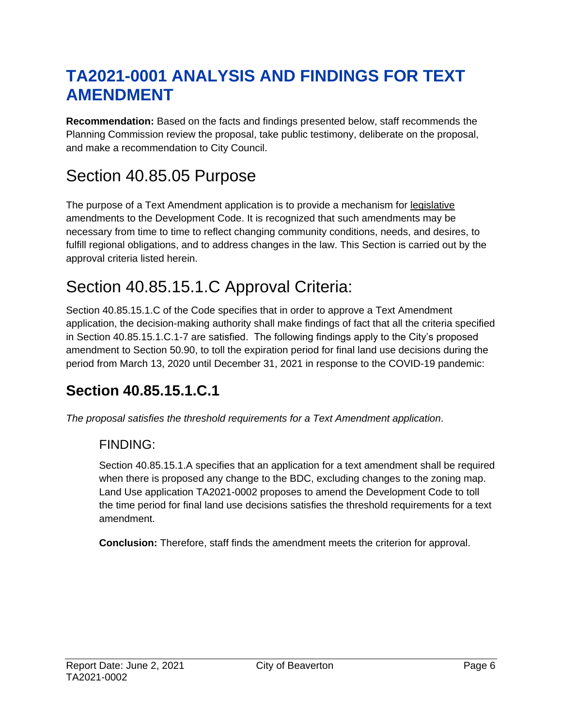# <span id="page-5-0"></span>**TA2021-0001 ANALYSIS AND FINDINGS FOR TEXT AMENDMENT**

**Recommendation:** Based on the facts and findings presented below, staff recommends the Planning Commission review the proposal, take public testimony, deliberate on the proposal, and make a recommendation to City Council.

# Section 40.85.05 Purpose

The purpose of a Text Amendment application is to provide a mechanism for [legislative](http://online.encodeplus.com/regs/beaverton-or/doc-view.aspx?pn=0&ajax=0&secid=1081) amendments to the Development Code. It is recognized that such amendments may be necessary from time to time to reflect changing community conditions, needs, and desires, to fulfill regional obligations, and to address changes in the law. This Section is carried out by the approval criteria listed herein.

# Section 40.85.15.1.C Approval Criteria:

Section 40.85.15.1.C of the Code specifies that in order to approve a Text Amendment application, the decision-making authority shall make findings of fact that all the criteria specified in Section 40.85.15.1.C.1-7 are satisfied. The following findings apply to the City's proposed amendment to Section 50.90, to toll the expiration period for final land use decisions during the period from March 13, 2020 until December 31, 2021 in response to the COVID-19 pandemic:

## **Section 40.85.15.1.C.1**

*The proposal satisfies the threshold requirements for a Text Amendment application*.

### FINDING:

Section 40.85.15.1.A specifies that an application for a text amendment shall be required when there is proposed any change to the BDC, excluding changes to the zoning map. Land Use application TA2021-0002 proposes to amend the Development Code to toll the time period for final land use decisions satisfies the threshold requirements for a text amendment.

**Conclusion:** Therefore, staff finds the amendment meets the criterion for approval.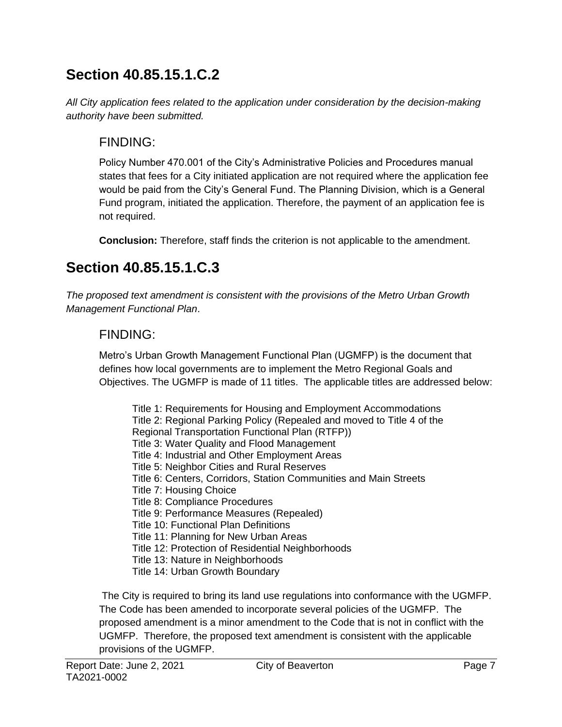## **Section 40.85.15.1.C.2**

*All City application fees related to the application under consideration by the decision-making authority have been submitted.*

### FINDING:

Policy Number 470.001 of the City's Administrative Policies and Procedures manual states that fees for a City initiated application are not required where the application fee would be paid from the City's General Fund. The Planning Division, which is a General Fund program, initiated the application. Therefore, the payment of an application fee is not required.

**Conclusion:** Therefore, staff finds the criterion is not applicable to the amendment.

## **Section 40.85.15.1.C.3**

*The proposed text amendment is consistent with the provisions of the Metro Urban Growth Management Functional Plan*.

### FINDING:

Metro's Urban Growth Management Functional Plan (UGMFP) is the document that defines how local governments are to implement the Metro Regional Goals and Objectives. The UGMFP is made of 11 titles. The applicable titles are addressed below:

Title 1: Requirements for Housing and Employment Accommodations Title 2: Regional Parking Policy (Repealed and moved to Title 4 of the Regional Transportation Functional Plan (RTFP)) Title 3: Water Quality and Flood Management Title 4: Industrial and Other Employment Areas Title 5: Neighbor Cities and Rural Reserves Title 6: Centers, Corridors, Station Communities and Main Streets Title 7: Housing Choice Title 8: Compliance Procedures Title 9: Performance Measures (Repealed) Title 10: Functional Plan Definitions Title 11: Planning for New Urban Areas Title 12: Protection of Residential Neighborhoods Title 13: Nature in Neighborhoods Title 14: Urban Growth Boundary

The City is required to bring its land use regulations into conformance with the UGMFP. The Code has been amended to incorporate several policies of the UGMFP. The proposed amendment is a minor amendment to the Code that is not in conflict with the UGMFP. Therefore, the proposed text amendment is consistent with the applicable provisions of the UGMFP.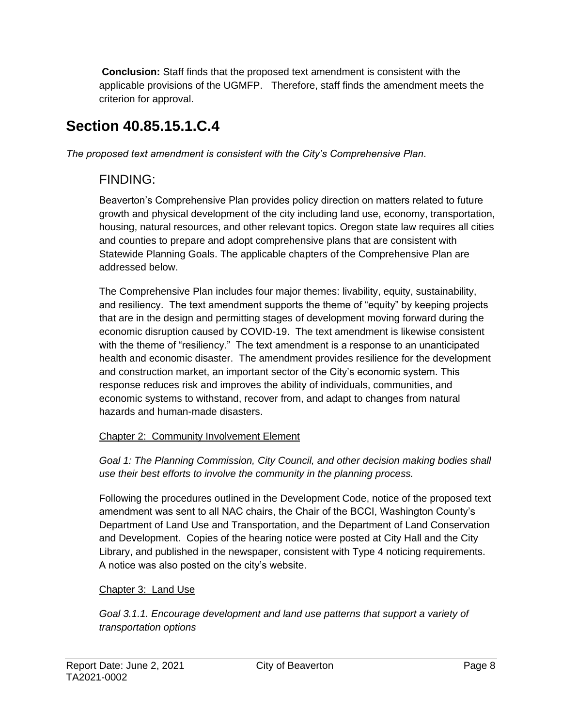**Conclusion:** Staff finds that the proposed text amendment is consistent with the applicable provisions of the UGMFP. Therefore, staff finds the amendment meets the criterion for approval.

## **Section 40.85.15.1.C.4**

*The proposed text amendment is consistent with the City's Comprehensive Plan*.

### FINDING:

Beaverton's Comprehensive Plan provides policy direction on matters related to future growth and physical development of the city including land use, economy, transportation, housing, natural resources, and other relevant topics. Oregon state law requires all cities and counties to prepare and adopt comprehensive plans that are consistent with Statewide Planning Goals. The applicable chapters of the Comprehensive Plan are addressed below.

The Comprehensive Plan includes four major themes: livability, equity, sustainability, and resiliency. The text amendment supports the theme of "equity" by keeping projects that are in the design and permitting stages of development moving forward during the economic disruption caused by COVID-19. The text amendment is likewise consistent with the theme of "resiliency." The text amendment is a response to an unanticipated health and economic disaster. The amendment provides resilience for the development and construction market, an important sector of the City's economic system. This response reduces risk and improves the ability of individuals, communities, and economic systems to withstand, recover from, and adapt to changes from natural hazards and human-made disasters.

#### Chapter 2: Community Involvement Element

*Goal 1: The Planning Commission, City Council, and other decision making bodies shall use their best efforts to involve the community in the planning process.*

Following the procedures outlined in the Development Code, notice of the proposed text amendment was sent to all NAC chairs, the Chair of the BCCI, Washington County's Department of Land Use and Transportation, and the Department of Land Conservation and Development. Copies of the hearing notice were posted at City Hall and the City Library, and published in the newspaper, consistent with Type 4 noticing requirements. A notice was also posted on the city's website.

#### Chapter 3: Land Use

*Goal 3.1.1. Encourage development and land use patterns that support a variety of transportation options*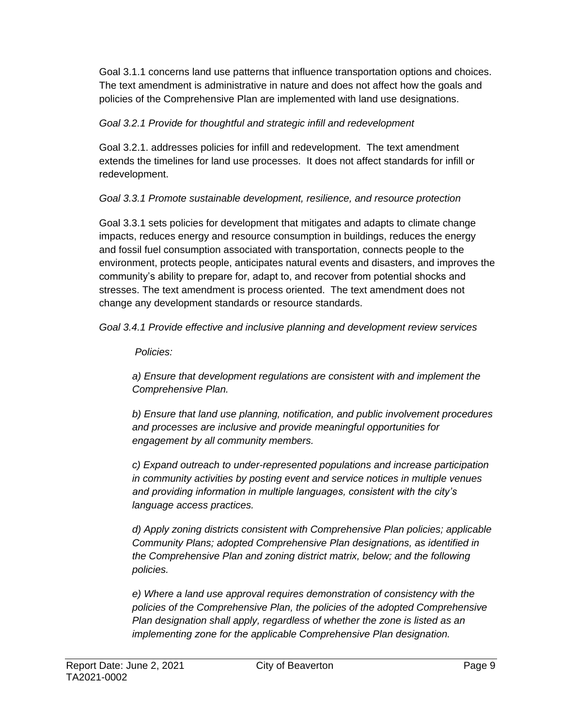Goal 3.1.1 concerns land use patterns that influence transportation options and choices. The text amendment is administrative in nature and does not affect how the goals and policies of the Comprehensive Plan are implemented with land use designations.

#### *Goal 3.2.1 Provide for thoughtful and strategic infill and redevelopment*

Goal 3.2.1. addresses policies for infill and redevelopment. The text amendment extends the timelines for land use processes. It does not affect standards for infill or redevelopment.

#### *Goal 3.3.1 Promote sustainable development, resilience, and resource protection*

Goal 3.3.1 sets policies for development that mitigates and adapts to climate change impacts, reduces energy and resource consumption in buildings, reduces the energy and fossil fuel consumption associated with transportation, connects people to the environment, protects people, anticipates natural events and disasters, and improves the community's ability to prepare for, adapt to, and recover from potential shocks and stresses. The text amendment is process oriented. The text amendment does not change any development standards or resource standards.

*Goal 3.4.1 Provide effective and inclusive planning and development review services*

#### *Policies:*

*a) Ensure that development regulations are consistent with and implement the Comprehensive Plan.*

*b) Ensure that land use planning, notification, and public involvement procedures and processes are inclusive and provide meaningful opportunities for engagement by all community members.*

*c) Expand outreach to under-represented populations and increase participation in community activities by posting event and service notices in multiple venues and providing information in multiple languages, consistent with the city's language access practices.*

*d) Apply zoning districts consistent with Comprehensive Plan policies; applicable Community Plans; adopted Comprehensive Plan designations, as identified in the Comprehensive Plan and zoning district matrix, below; and the following policies.*

*e) Where a land use approval requires demonstration of consistency with the policies of the Comprehensive Plan, the policies of the adopted Comprehensive Plan designation shall apply, regardless of whether the zone is listed as an implementing zone for the applicable Comprehensive Plan designation.*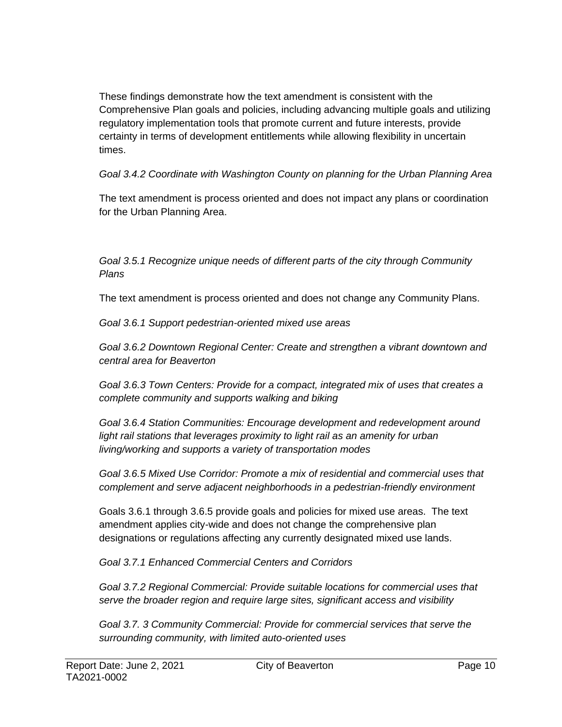These findings demonstrate how the text amendment is consistent with the Comprehensive Plan goals and policies, including advancing multiple goals and utilizing regulatory implementation tools that promote current and future interests, provide certainty in terms of development entitlements while allowing flexibility in uncertain times.

*Goal 3.4.2 Coordinate with Washington County on planning for the Urban Planning Area*

The text amendment is process oriented and does not impact any plans or coordination for the Urban Planning Area.

#### *Goal 3.5.1 Recognize unique needs of different parts of the city through Community Plans*

The text amendment is process oriented and does not change any Community Plans.

*Goal 3.6.1 Support pedestrian-oriented mixed use areas*

*Goal 3.6.2 Downtown Regional Center: Create and strengthen a vibrant downtown and central area for Beaverton*

*Goal 3.6.3 Town Centers: Provide for a compact, integrated mix of uses that creates a complete community and supports walking and biking*

*Goal 3.6.4 Station Communities: Encourage development and redevelopment around*  light rail stations that leverages proximity to light rail as an amenity for urban *living/working and supports a variety of transportation modes*

*Goal 3.6.5 Mixed Use Corridor: Promote a mix of residential and commercial uses that complement and serve adjacent neighborhoods in a pedestrian-friendly environment*

Goals 3.6.1 through 3.6.5 provide goals and policies for mixed use areas. The text amendment applies city-wide and does not change the comprehensive plan designations or regulations affecting any currently designated mixed use lands.

*Goal 3.7.1 Enhanced Commercial Centers and Corridors*

*Goal 3.7.2 Regional Commercial: Provide suitable locations for commercial uses that serve the broader region and require large sites, significant access and visibility*

*Goal 3.7. 3 Community Commercial: Provide for commercial services that serve the surrounding community, with limited auto-oriented uses*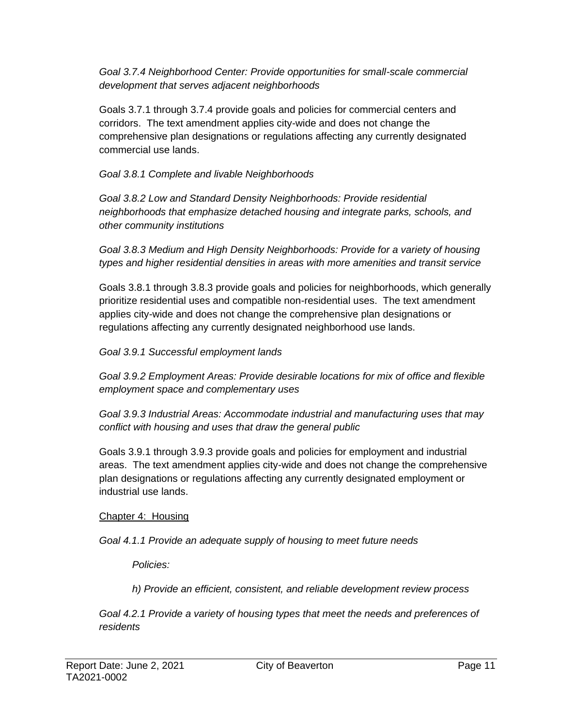*Goal 3.7.4 Neighborhood Center: Provide opportunities for small-scale commercial development that serves adjacent neighborhoods*

Goals 3.7.1 through 3.7.4 provide goals and policies for commercial centers and corridors. The text amendment applies city-wide and does not change the comprehensive plan designations or regulations affecting any currently designated commercial use lands.

#### *Goal 3.8.1 Complete and livable Neighborhoods*

*Goal 3.8.2 Low and Standard Density Neighborhoods: Provide residential neighborhoods that emphasize detached housing and integrate parks, schools, and other community institutions*

*Goal 3.8.3 Medium and High Density Neighborhoods: Provide for a variety of housing types and higher residential densities in areas with more amenities and transit service*

Goals 3.8.1 through 3.8.3 provide goals and policies for neighborhoods, which generally prioritize residential uses and compatible non-residential uses. The text amendment applies city-wide and does not change the comprehensive plan designations or regulations affecting any currently designated neighborhood use lands.

*Goal 3.9.1 Successful employment lands*

*Goal 3.9.2 Employment Areas: Provide desirable locations for mix of office and flexible employment space and complementary uses*

*Goal 3.9.3 Industrial Areas: Accommodate industrial and manufacturing uses that may conflict with housing and uses that draw the general public*

Goals 3.9.1 through 3.9.3 provide goals and policies for employment and industrial areas. The text amendment applies city-wide and does not change the comprehensive plan designations or regulations affecting any currently designated employment or industrial use lands.

#### Chapter 4: Housing

*Goal 4.1.1 Provide an adequate supply of housing to meet future needs*

*Policies:*

*h) Provide an efficient, consistent, and reliable development review process*

*Goal 4.2.1 Provide a variety of housing types that meet the needs and preferences of residents*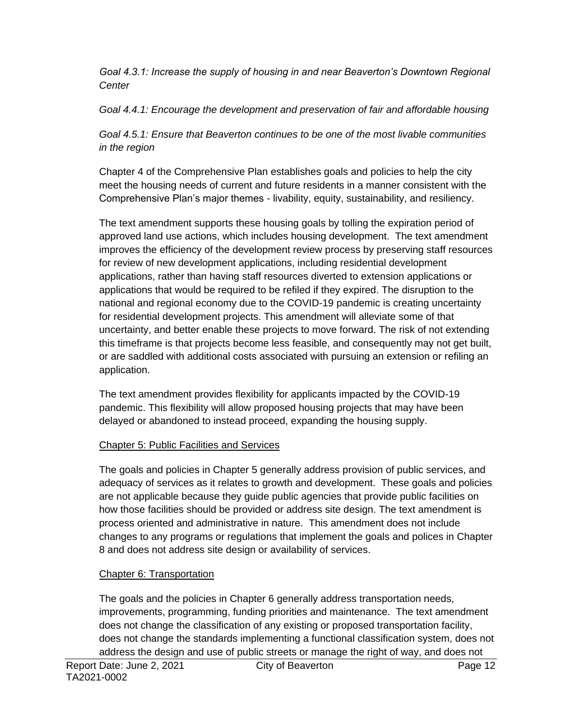*Goal 4.3.1: Increase the supply of housing in and near Beaverton's Downtown Regional Center*

*Goal 4.4.1: Encourage the development and preservation of fair and affordable housing*

*Goal 4.5.1: Ensure that Beaverton continues to be one of the most livable communities in the region*

Chapter 4 of the Comprehensive Plan establishes goals and policies to help the city meet the housing needs of current and future residents in a manner consistent with the Comprehensive Plan's major themes - livability, equity, sustainability, and resiliency.

The text amendment supports these housing goals by tolling the expiration period of approved land use actions, which includes housing development. The text amendment improves the efficiency of the development review process by preserving staff resources for review of new development applications, including residential development applications, rather than having staff resources diverted to extension applications or applications that would be required to be refiled if they expired. The disruption to the national and regional economy due to the COVID-19 pandemic is creating uncertainty for residential development projects. This amendment will alleviate some of that uncertainty, and better enable these projects to move forward. The risk of not extending this timeframe is that projects become less feasible, and consequently may not get built, or are saddled with additional costs associated with pursuing an extension or refiling an application.

The text amendment provides flexibility for applicants impacted by the COVID-19 pandemic. This flexibility will allow proposed housing projects that may have been delayed or abandoned to instead proceed, expanding the housing supply.

#### Chapter 5: Public Facilities and Services

The goals and policies in Chapter 5 generally address provision of public services, and adequacy of services as it relates to growth and development. These goals and policies are not applicable because they guide public agencies that provide public facilities on how those facilities should be provided or address site design. The text amendment is process oriented and administrative in nature. This amendment does not include changes to any programs or regulations that implement the goals and polices in Chapter 8 and does not address site design or availability of services.

#### Chapter 6: Transportation

The goals and the policies in Chapter 6 generally address transportation needs, improvements, programming, funding priorities and maintenance. The text amendment does not change the classification of any existing or proposed transportation facility, does not change the standards implementing a functional classification system, does not address the design and use of public streets or manage the right of way, and does not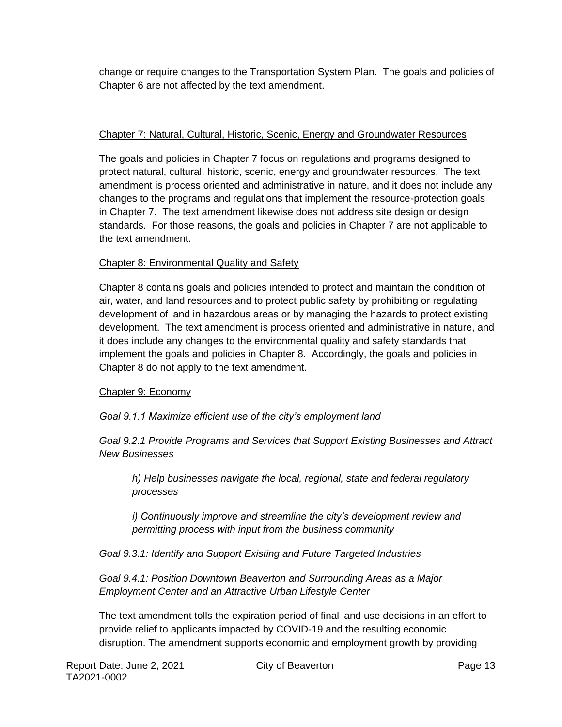change or require changes to the Transportation System Plan. The goals and policies of Chapter 6 are not affected by the text amendment.

#### Chapter 7: Natural, Cultural, Historic, Scenic, Energy and Groundwater Resources

The goals and policies in Chapter 7 focus on regulations and programs designed to protect natural, cultural, historic, scenic, energy and groundwater resources. The text amendment is process oriented and administrative in nature, and it does not include any changes to the programs and regulations that implement the resource-protection goals in Chapter 7. The text amendment likewise does not address site design or design standards. For those reasons, the goals and policies in Chapter 7 are not applicable to the text amendment.

#### Chapter 8: Environmental Quality and Safety

Chapter 8 contains goals and policies intended to protect and maintain the condition of air, water, and land resources and to protect public safety by prohibiting or regulating development of land in hazardous areas or by managing the hazards to protect existing development. The text amendment is process oriented and administrative in nature, and it does include any changes to the environmental quality and safety standards that implement the goals and policies in Chapter 8. Accordingly, the goals and policies in Chapter 8 do not apply to the text amendment.

#### Chapter 9: Economy

#### *Goal 9.1.1 Maximize efficient use of the city's employment land*

*Goal 9.2.1 Provide Programs and Services that Support Existing Businesses and Attract New Businesses*

*h) Help businesses navigate the local, regional, state and federal regulatory processes*

*i) Continuously improve and streamline the city's development review and permitting process with input from the business community*

*Goal 9.3.1: Identify and Support Existing and Future Targeted Industries*

*Goal 9.4.1: Position Downtown Beaverton and Surrounding Areas as a Major Employment Center and an Attractive Urban Lifestyle Center*

The text amendment tolls the expiration period of final land use decisions in an effort to provide relief to applicants impacted by COVID-19 and the resulting economic disruption. The amendment supports economic and employment growth by providing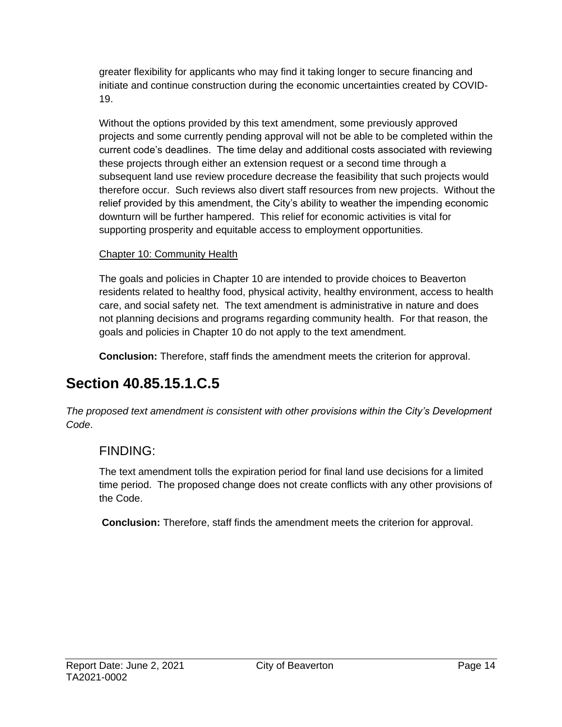greater flexibility for applicants who may find it taking longer to secure financing and initiate and continue construction during the economic uncertainties created by COVID-19.

Without the options provided by this text amendment, some previously approved projects and some currently pending approval will not be able to be completed within the current code's deadlines. The time delay and additional costs associated with reviewing these projects through either an extension request or a second time through a subsequent land use review procedure decrease the feasibility that such projects would therefore occur. Such reviews also divert staff resources from new projects. Without the relief provided by this amendment, the City's ability to weather the impending economic downturn will be further hampered. This relief for economic activities is vital for supporting prosperity and equitable access to employment opportunities.

#### Chapter 10: Community Health

The goals and policies in Chapter 10 are intended to provide choices to Beaverton residents related to healthy food, physical activity, healthy environment, access to health care, and social safety net. The text amendment is administrative in nature and does not planning decisions and programs regarding community health. For that reason, the goals and policies in Chapter 10 do not apply to the text amendment.

**Conclusion:** Therefore, staff finds the amendment meets the criterion for approval.

## **Section 40.85.15.1.C.5**

*The proposed text amendment is consistent with other provisions within the City's Development Code*.

### FINDING:

The text amendment tolls the expiration period for final land use decisions for a limited time period. The proposed change does not create conflicts with any other provisions of the Code.

**Conclusion:** Therefore, staff finds the amendment meets the criterion for approval.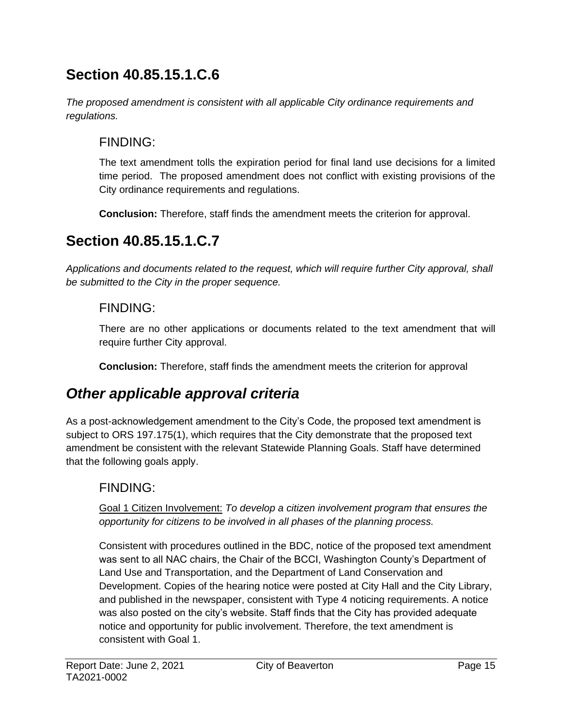## **Section 40.85.15.1.C.6**

*The proposed amendment is consistent with all applicable City ordinance requirements and regulations.* 

### FINDING:

The text amendment tolls the expiration period for final land use decisions for a limited time period. The proposed amendment does not conflict with existing provisions of the City ordinance requirements and regulations.

**Conclusion:** Therefore, staff finds the amendment meets the criterion for approval.

## **Section 40.85.15.1.C.7**

*Applications and documents related to the request, which will require further City approval, shall be submitted to the City in the proper sequence.*

### FINDING:

There are no other applications or documents related to the text amendment that will require further City approval.

**Conclusion:** Therefore, staff finds the amendment meets the criterion for approval

## *Other applicable approval criteria*

As a post-acknowledgement amendment to the City's Code, the proposed text amendment is subject to ORS 197.175(1), which requires that the City demonstrate that the proposed text amendment be consistent with the relevant Statewide Planning Goals. Staff have determined that the following goals apply.

### FINDING:

Goal 1 Citizen Involvement: *To develop a citizen involvement program that ensures the opportunity for citizens to be involved in all phases of the planning process.*

Consistent with procedures outlined in the BDC, notice of the proposed text amendment was sent to all NAC chairs, the Chair of the BCCI, Washington County's Department of Land Use and Transportation, and the Department of Land Conservation and Development. Copies of the hearing notice were posted at City Hall and the City Library, and published in the newspaper, consistent with Type 4 noticing requirements. A notice was also posted on the city's website. Staff finds that the City has provided adequate notice and opportunity for public involvement. Therefore, the text amendment is consistent with Goal 1.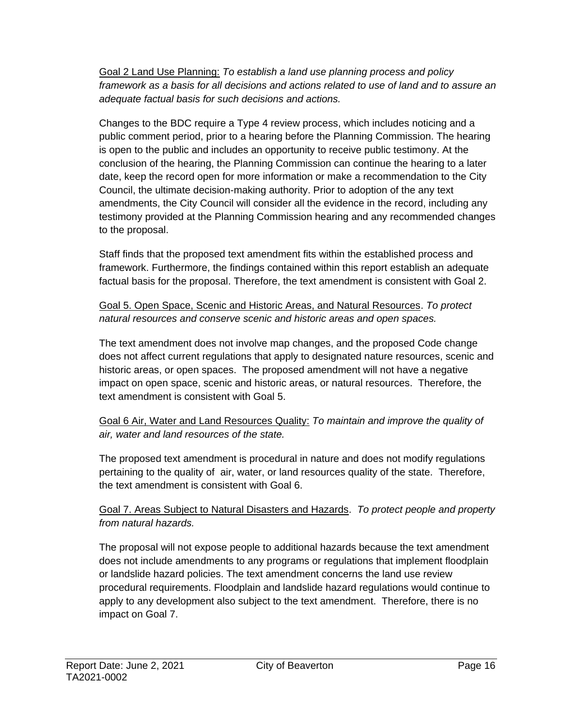Goal 2 Land Use Planning: *To establish a land use planning process and policy framework as a basis for all decisions and actions related to use of land and to assure an adequate factual basis for such decisions and actions.*

Changes to the BDC require a Type 4 review process, which includes noticing and a public comment period, prior to a hearing before the Planning Commission. The hearing is open to the public and includes an opportunity to receive public testimony. At the conclusion of the hearing, the Planning Commission can continue the hearing to a later date, keep the record open for more information or make a recommendation to the City Council, the ultimate decision-making authority. Prior to adoption of the any text amendments, the City Council will consider all the evidence in the record, including any testimony provided at the Planning Commission hearing and any recommended changes to the proposal.

Staff finds that the proposed text amendment fits within the established process and framework. Furthermore, the findings contained within this report establish an adequate factual basis for the proposal. Therefore, the text amendment is consistent with Goal 2.

Goal 5. Open Space, Scenic and Historic Areas, and Natural Resources. *To protect natural resources and conserve scenic and historic areas and open spaces.*

The text amendment does not involve map changes, and the proposed Code change does not affect current regulations that apply to designated nature resources, scenic and historic areas, or open spaces. The proposed amendment will not have a negative impact on open space, scenic and historic areas, or natural resources. Therefore, the text amendment is consistent with Goal 5.

Goal 6 Air, Water and Land Resources Quality: *To maintain and improve the quality of air, water and land resources of the state.*

The proposed text amendment is procedural in nature and does not modify regulations pertaining to the quality of air, water, or land resources quality of the state. Therefore, the text amendment is consistent with Goal 6.

#### Goal 7. Areas Subject to Natural Disasters and Hazards. *To protect people and property from natural hazards.*

The proposal will not expose people to additional hazards because the text amendment does not include amendments to any programs or regulations that implement floodplain or landslide hazard policies. The text amendment concerns the land use review procedural requirements. Floodplain and landslide hazard regulations would continue to apply to any development also subject to the text amendment. Therefore, there is no impact on Goal 7.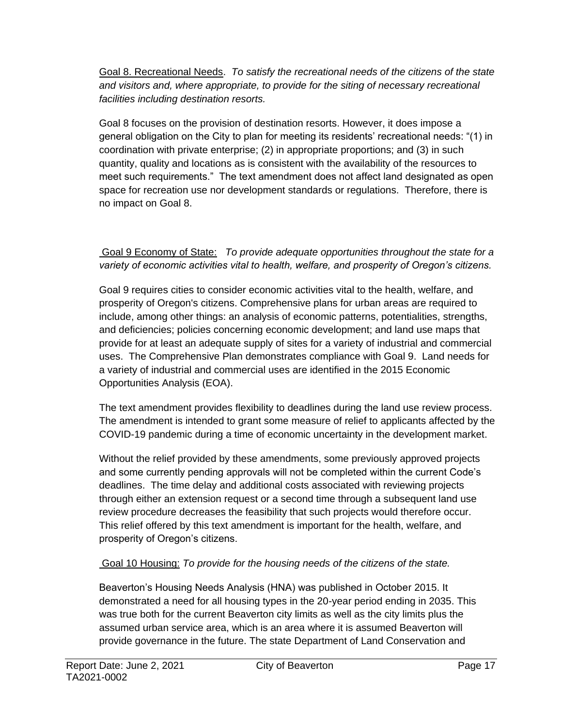Goal 8. Recreational Needs. *To satisfy the recreational needs of the citizens of the state and visitors and, where appropriate, to provide for the siting of necessary recreational facilities including destination resorts.*

Goal 8 focuses on the provision of destination resorts. However, it does impose a general obligation on the City to plan for meeting its residents' recreational needs: "(1) in coordination with private enterprise; (2) in appropriate proportions; and (3) in such quantity, quality and locations as is consistent with the availability of the resources to meet such requirements." The text amendment does not affect land designated as open space for recreation use nor development standards or regulations. Therefore, there is no impact on Goal 8.

Goal 9 Economy of State: *To provide adequate opportunities throughout the state for a variety of economic activities vital to health, welfare, and prosperity of Oregon's citizens.*

Goal 9 requires cities to consider economic activities vital to the health, welfare, and prosperity of Oregon's citizens. Comprehensive plans for urban areas are required to include, among other things: an analysis of economic patterns, potentialities, strengths, and deficiencies; policies concerning economic development; and land use maps that provide for at least an adequate supply of sites for a variety of industrial and commercial uses. The Comprehensive Plan demonstrates compliance with Goal 9. Land needs for a variety of industrial and commercial uses are identified in the 2015 Economic Opportunities Analysis (EOA).

The text amendment provides flexibility to deadlines during the land use review process. The amendment is intended to grant some measure of relief to applicants affected by the COVID-19 pandemic during a time of economic uncertainty in the development market.

Without the relief provided by these amendments, some previously approved projects and some currently pending approvals will not be completed within the current Code's deadlines. The time delay and additional costs associated with reviewing projects through either an extension request or a second time through a subsequent land use review procedure decreases the feasibility that such projects would therefore occur. This relief offered by this text amendment is important for the health, welfare, and prosperity of Oregon's citizens.

#### Goal 10 Housing: *To provide for the housing needs of the citizens of the state.*

Beaverton's Housing Needs Analysis (HNA) was published in October 2015. It demonstrated a need for all housing types in the 20-year period ending in 2035. This was true both for the current Beaverton city limits as well as the city limits plus the assumed urban service area, which is an area where it is assumed Beaverton will provide governance in the future. The state Department of Land Conservation and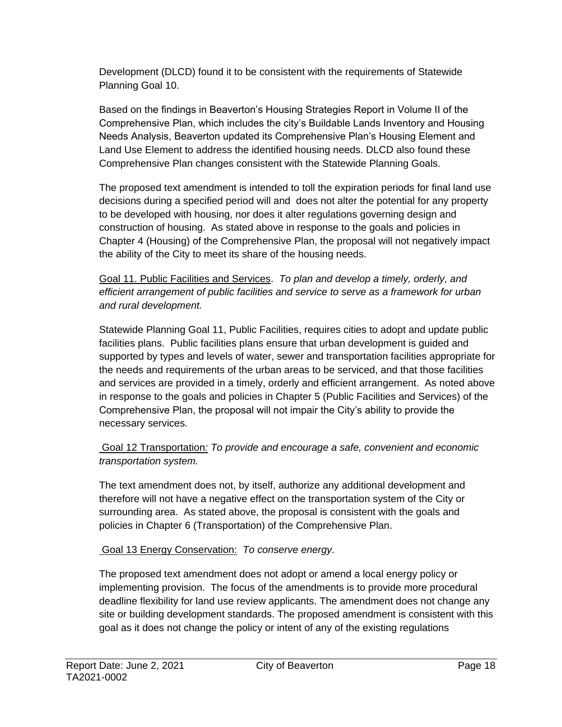Development (DLCD) found it to be consistent with the requirements of Statewide Planning Goal 10.

Based on the findings in Beaverton's Housing Strategies Report in Volume II of the Comprehensive Plan, which includes the city's Buildable Lands Inventory and Housing Needs Analysis, Beaverton updated its Comprehensive Plan's Housing Element and Land Use Element to address the identified housing needs. DLCD also found these Comprehensive Plan changes consistent with the Statewide Planning Goals.

The proposed text amendment is intended to toll the expiration periods for final land use decisions during a specified period will and does not alter the potential for any property to be developed with housing, nor does it alter regulations governing design and construction of housing. As stated above in response to the goals and policies in Chapter 4 (Housing) of the Comprehensive Plan, the proposal will not negatively impact the ability of the City to meet its share of the housing needs.

Goal 11. Public Facilities and Services. *To plan and develop a timely, orderly, and efficient arrangement of public facilities and service to serve as a framework for urban and rural development.*

Statewide Planning Goal 11, Public Facilities, requires cities to adopt and update public facilities plans. Public facilities plans ensure that urban development is guided and supported by types and levels of water, sewer and transportation facilities appropriate for the needs and requirements of the urban areas to be serviced, and that those facilities and services are provided in a timely, orderly and efficient arrangement. As noted above in response to the goals and policies in Chapter 5 (Public Facilities and Services) of the Comprehensive Plan, the proposal will not impair the City's ability to provide the necessary services.

#### Goal 12 Transportation*: To provide and encourage a safe, convenient and economic transportation system.*

The text amendment does not, by itself, authorize any additional development and therefore will not have a negative effect on the transportation system of the City or surrounding area. As stated above, the proposal is consistent with the goals and policies in Chapter 6 (Transportation) of the Comprehensive Plan.

#### Goal 13 Energy Conservation: *To conserve energy.*

The proposed text amendment does not adopt or amend a local energy policy or implementing provision. The focus of the amendments is to provide more procedural deadline flexibility for land use review applicants. The amendment does not change any site or building development standards. The proposed amendment is consistent with this goal as it does not change the policy or intent of any of the existing regulations